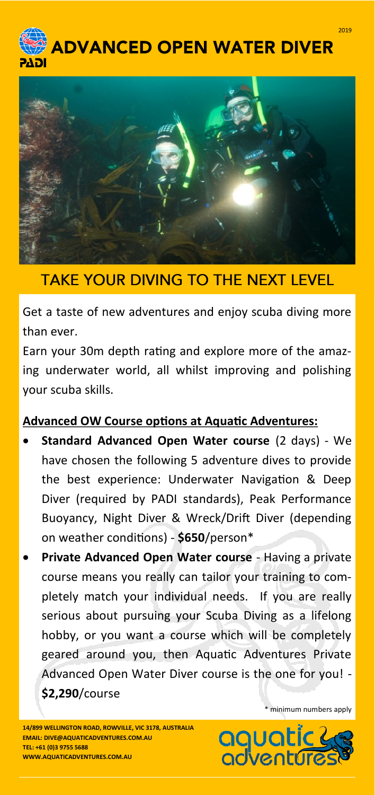



## **TAKE YOUR DIVING TO THE NEXT LEVEL**

Get a taste of new adventures and enjoy scuba diving more than ever.

Earn your 30m depth rating and explore more of the amazing underwater world, all whilst improving and polishing your scuba skills.

## **Advanced OW Course options at Aquatic Adventures:**

- **Standard Advanced Open Water course** (2 days) We have chosen the following 5 adventure dives to provide the best experience: Underwater Navigation & Deep Diver (required by PADI standards), Peak Performance Buoyancy, Night Diver & Wreck/Drift Diver (depending on weather conditions) - **\$650**/person\*
- **Private Advanced Open Water course**  Having a private course means you really can tailor your training to completely match your individual needs. If you are really serious about pursuing your Scuba Diving as a lifelong hobby, or you want a course which will be completely geared around you, then Aquatic Adventures Private Advanced Open Water Diver course is the one for you! - **\$2,290**/course

**14/899 WELLINGTON ROAD, ROWVILLE, VIC 3178, AUSTRALIA EMAIL: DIVE@AQUATICADVENTURES.COM.AU TEL: +61 (0)3 9755 5688 WWW.AQUATICADVENTURES.COM.AU** 

\* minimum numbers apply